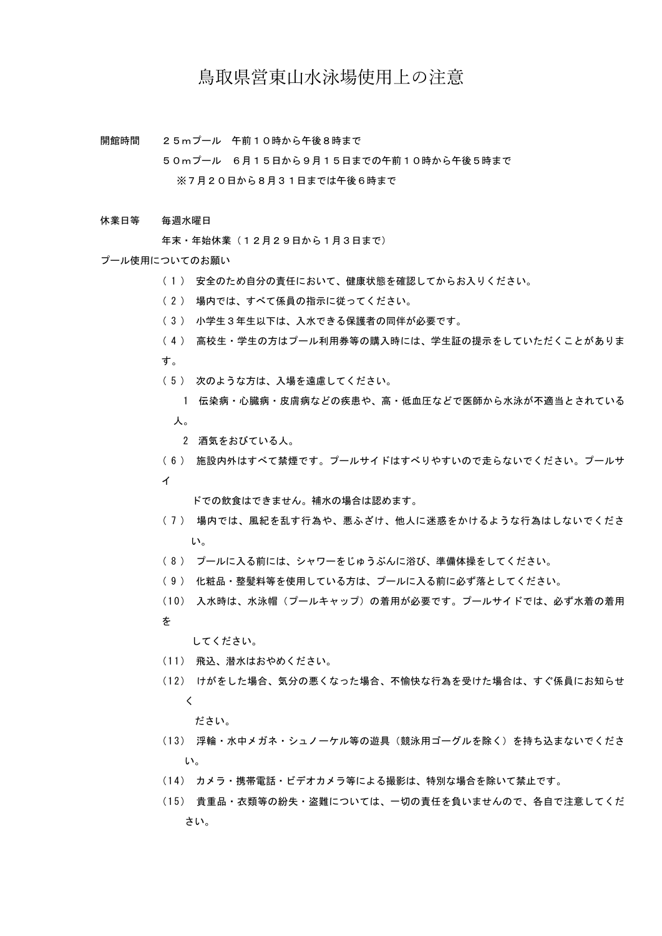## 鳥取県営東山水泳場使用上の注意

開館時間 25mプール 午前10時から午後8時まで

> 50mプール 6月15日から9月15日までの午前10時から午後5時まで ※7月20日から8月31日までは午後6時まで

#### 休業日等 毎週水曜日

年末・年始休業(12月29日から1月3日まで)

### プール使用についてのお願い

- ( 1 ) 安全のため自分の責任において、健康状態を確認してからお入りください。
- ( 2 ) 場内では、すべて係員の指示に従ってください。
- ( 3 ) 小学生3年生以下は、入水できる保護者の同伴が必要です。
- ( 4 ) 高校生・学生の方はプール利用券等の購入時には、学生証の提示をしていただくことがありま す。
- ( 5 ) 次のような方は、入場を遠慮してください。
	- 1 伝染病・心臓病・皮膚病などの疾患や、高・低血圧などで医師から水泳が不適当とされている 人。
	- 2 酒気をおびている人。
- ( 6 ) 施設内外はすべて禁煙です。プールサイドはすべりやすいので走らないでください。プールサ イ

ドでの飲食はできません。補水の場合は認めます。

- ( 7 ) 場内では、風紀を乱す行為や、悪ふざけ、他人に迷惑をかけるような行為はしないでくださ い。
- ( 8 ) プールに入る前には、シャワーをじゅうぶんに浴び、準備体操をしてください。
- ( 9 ) 化粧品・整髪料等を使用している方は、プールに入る前に必ず落としてください。
- (10) 入水時は、水泳帽(プールキャップ)の着用が必要です。プールサイドでは、必ず水着の着用 を
	- してください。
- ( 1 1 ) 飛込、潜水はおやめください。
- ( 1 2 ) けがをした場合、気分の悪くなった場合、不愉快な行為を受けた場合は、すぐ係員にお知らせ く

### ださい。

- ( 1 3 ) 浮輪・水中メガネ・シュノーケル等の遊具(競泳用ゴーグルを除く)を持ち込まないでくださ い。
- ( 1 4 ) カメラ・携帯電話・ビデオカメラ等による撮影は、特別な場合を除いて禁止です。
- ( 1 5 ) 貴重品・衣類等の紛失・盗難については、一切の責任を負いませんので、各自で注意してくだ さい。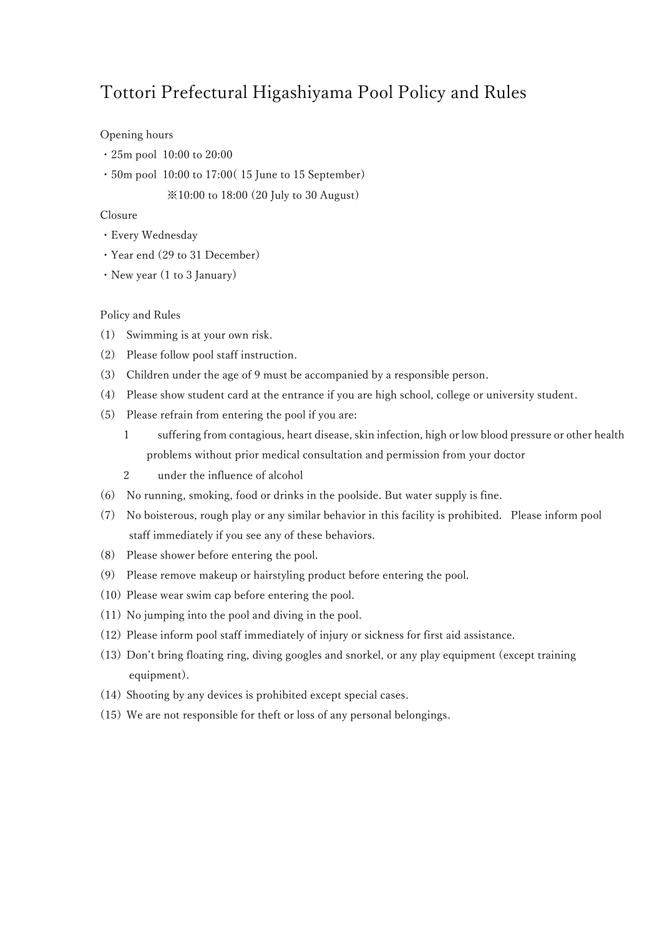# Tottori Prefectural Higashiyama Pool Policy and Rules

### Opening hours

- ・25m pool 10:00 to 20:00
- ・50m pool 10:00 to 17:00( 15 June to 15 September)

※10:00 to 18:00 (20 July to 30 August)

### Closure

- ・Every Wednesday
- ・Year end (29 to 31 December)
- ・New year (1 to 3 January)

### Policy and Rules

- (1) Swimming is at your own risk.
- (2) Please follow pool staff instruction.
- (3) Children under the age of 9 must be accompanied by a responsible person.
- (4) Please show student card at the entrance if you are high school, college or university student.
- (5) Please refrain from entering the pool if you are:
	- 1 suffering from contagious, heart disease, skin infection, high or low blood pressure or other health problems without prior medical consultation and permission from your doctor
	- 2 under the influence of alcohol
- (6) No running, smoking, food or drinks in the poolside. But water supply is fine.
- (7) No boisterous, rough play or any similar behavior in this facility is prohibited. Please inform pool staff immediately if you see any of these behaviors.
- (8) Please shower before entering the pool.
- (9) Please remove makeup or hairstyling product before entering the pool.
- (10) Please wear swim cap before entering the pool.
- (11) No jumping into the pool and diving in the pool.
- (12) Please inform pool staff immediately of injury or sickness for first aid assistance.
- (13) Don't bring floating ring, diving googles and snorkel, or any play equipment (except training equipment).
- (14) Shooting by any devices is prohibited except special cases.
- (15) We are not responsible for theft or loss of any personal belongings.